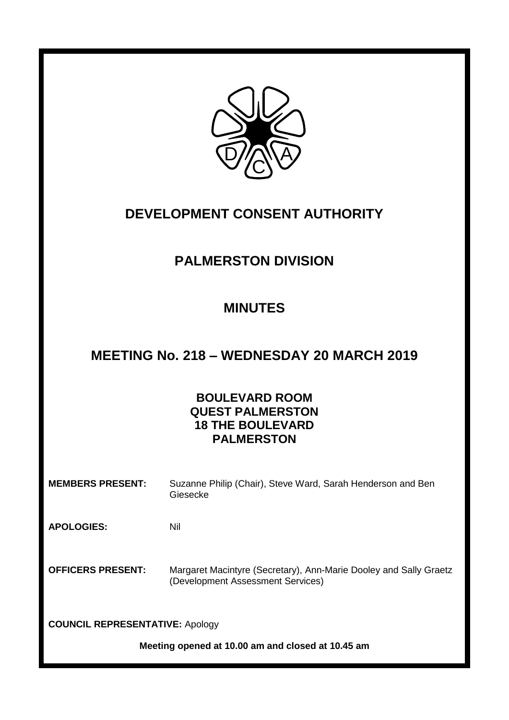

# **DEVELOPMENT CONSENT AUTHORITY**

# **PALMERSTON DIVISION**

# **MINUTES**

# **MEETING No. 218 – WEDNESDAY 20 MARCH 2019**

# **BOULEVARD ROOM QUEST PALMERSTON 18 THE BOULEVARD PALMERSTON**

**MEMBERS PRESENT:** Suzanne Philip (Chair), Steve Ward, Sarah Henderson and Ben Giesecke

**APOLOGIES:** Nil

**OFFICERS PRESENT:** Margaret Macintyre (Secretary), Ann-Marie Dooley and Sally Graetz (Development Assessment Services)

**COUNCIL REPRESENTATIVE:** Apology

**Meeting opened at 10.00 am and closed at 10.45 am**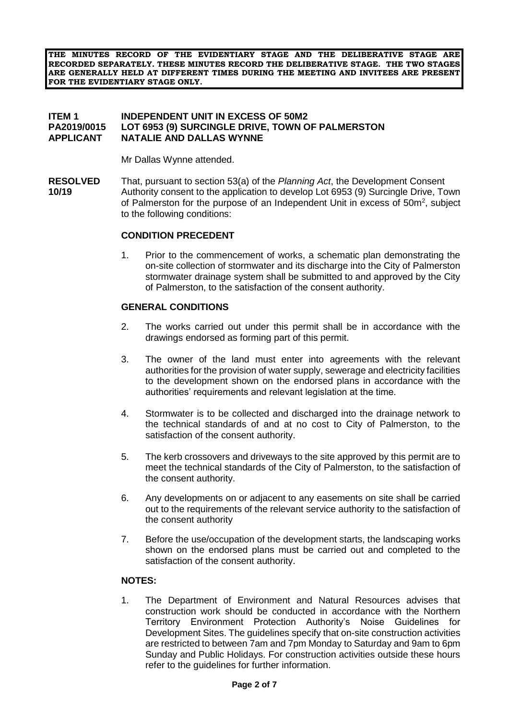**THE MINUTES RECORD OF THE EVIDENTIARY STAGE AND THE DELIBERATIVE STAGE ARE RECORDED SEPARATELY. THESE MINUTES RECORD THE DELIBERATIVE STAGE. THE TWO STAGES ARE GENERALLY HELD AT DIFFERENT TIMES DURING THE MEETING AND INVITEES ARE PRESENT FOR THE EVIDENTIARY STAGE ONLY.**

### **ITEM 1 INDEPENDENT UNIT IN EXCESS OF 50M2 PA2019/0015 LOT 6953 (9) SURCINGLE DRIVE, TOWN OF PALMERSTON APPLICANT NATALIE AND DALLAS WYNNE**

Mr Dallas Wynne attended.

**RESOLVED** That, pursuant to section 53(a) of the *Planning Act*, the Development Consent **10/19** Authority consent to the application to develop Lot 6953 (9) Surcingle Drive, Town of Palmerston for the purpose of an Independent Unit in excess of  $50m^2$ , subject to the following conditions:

#### **CONDITION PRECEDENT**

1. Prior to the commencement of works, a schematic plan demonstrating the on-site collection of stormwater and its discharge into the City of Palmerston stormwater drainage system shall be submitted to and approved by the City of Palmerston, to the satisfaction of the consent authority.

#### **GENERAL CONDITIONS**

- 2. The works carried out under this permit shall be in accordance with the drawings endorsed as forming part of this permit.
- 3. The owner of the land must enter into agreements with the relevant authorities for the provision of water supply, sewerage and electricity facilities to the development shown on the endorsed plans in accordance with the authorities' requirements and relevant legislation at the time.
- 4. Stormwater is to be collected and discharged into the drainage network to the technical standards of and at no cost to City of Palmerston, to the satisfaction of the consent authority.
- 5. The kerb crossovers and driveways to the site approved by this permit are to meet the technical standards of the City of Palmerston, to the satisfaction of the consent authority.
- 6. Any developments on or adjacent to any easements on site shall be carried out to the requirements of the relevant service authority to the satisfaction of the consent authority
- 7. Before the use/occupation of the development starts, the landscaping works shown on the endorsed plans must be carried out and completed to the satisfaction of the consent authority.

#### **NOTES:**

1. The Department of Environment and Natural Resources advises that construction work should be conducted in accordance with the Northern Territory Environment Protection Authority's Noise Guidelines for Development Sites. The guidelines specify that on-site construction activities are restricted to between 7am and 7pm Monday to Saturday and 9am to 6pm Sunday and Public Holidays. For construction activities outside these hours refer to the guidelines for further information.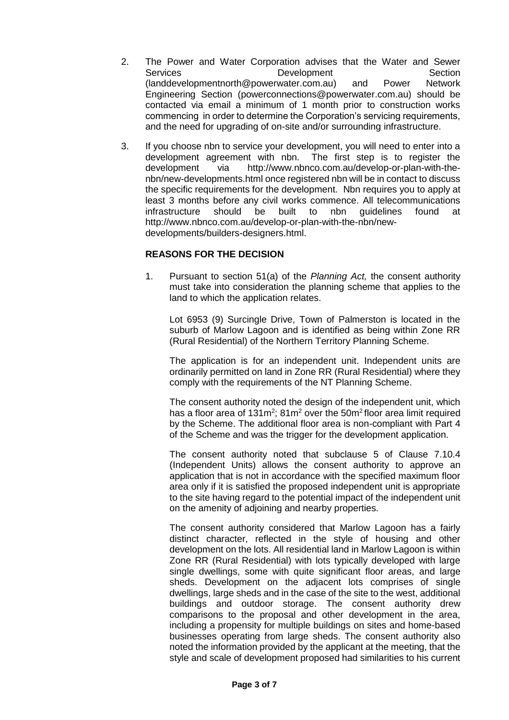- 2. The Power and Water Corporation advises that the Water and Sewer Services Development Section [\(landdevelopmentnorth@powerwater.com.au\)](mailto:landdevelopmentnorth@powerwater.com.au) and Power Network Engineering Section [\(powerconnections@powerwater.com.au\)](mailto:powerconnections@powerwater.com.au) should be contacted via email a minimum of 1 month prior to construction works commencing in order to determine the Corporation's servicing requirements, and the need for upgrading of on-site and/or surrounding infrastructure.
- 3. If you choose nbn to service your development, you will need to enter into a development agreement with nbn. The first step is to register the development via [http://www.nbnco.com.au/develop-or-plan-with-the](http://www.nbnco.com.au/develop-or-plan-with-the-nbn/new-developments.html)[nbn/new-developments.html](http://www.nbnco.com.au/develop-or-plan-with-the-nbn/new-developments.html) once registered nbn will be in contact to discuss the specific requirements for the development. Nbn requires you to apply at least 3 months before any civil works commence. All telecommunications infrastructure should be built to nbn guidelines found at [http://www.nbnco.com.au/develop-or-plan-with-the-nbn/new](http://www.nbnco.com.au/develop-or-plan-with-the-nbn/new-developments/builders-designers.html)[developments/builders-designers.html.](http://www.nbnco.com.au/develop-or-plan-with-the-nbn/new-developments/builders-designers.html)

### **REASONS FOR THE DECISION**

1. Pursuant to section 51(a) of the *Planning Act,* the consent authority must take into consideration the planning scheme that applies to the land to which the application relates.

Lot 6953 (9) Surcingle Drive, Town of Palmerston is located in the suburb of Marlow Lagoon and is identified as being within Zone RR (Rural Residential) of the Northern Territory Planning Scheme.

The application is for an independent unit. Independent units are ordinarily permitted on land in Zone RR (Rural Residential) where they comply with the requirements of the NT Planning Scheme.

The consent authority noted the design of the independent unit, which has a floor area of  $131m^2$ ;  $81m^2$  over the  $50m^2$  floor area limit required by the Scheme. The additional floor area is non-compliant with Part 4 of the Scheme and was the trigger for the development application.

The consent authority noted that subclause 5 of Clause 7.10.4 (Independent Units) allows the consent authority to approve an application that is not in accordance with the specified maximum floor area only if it is satisfied the proposed independent unit is appropriate to the site having regard to the potential impact of the independent unit on the amenity of adjoining and nearby properties.

The consent authority considered that Marlow Lagoon has a fairly distinct character, reflected in the style of housing and other development on the lots. All residential land in Marlow Lagoon is within Zone RR (Rural Residential) with lots typically developed with large single dwellings, some with quite significant floor areas, and large sheds. Development on the adjacent lots comprises of single dwellings, large sheds and in the case of the site to the west, additional buildings and outdoor storage. The consent authority drew comparisons to the proposal and other development in the area, including a propensity for multiple buildings on sites and home-based businesses operating from large sheds. The consent authority also noted the information provided by the applicant at the meeting, that the style and scale of development proposed had similarities to his current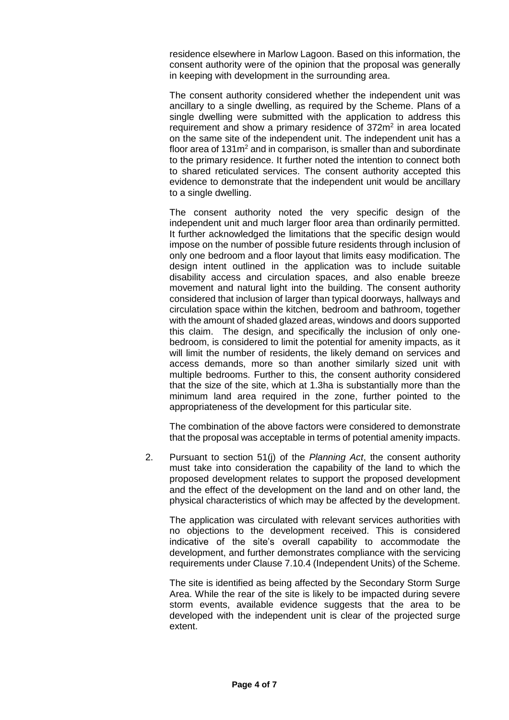residence elsewhere in Marlow Lagoon. Based on this information, the consent authority were of the opinion that the proposal was generally in keeping with development in the surrounding area.

The consent authority considered whether the independent unit was ancillary to a single dwelling, as required by the Scheme. Plans of a single dwelling were submitted with the application to address this requirement and show a primary residence of  $372m<sup>2</sup>$  in area located on the same site of the independent unit. The independent unit has a floor area of  $131m^2$  and in comparison, is smaller than and subordinate to the primary residence. It further noted the intention to connect both to shared reticulated services. The consent authority accepted this evidence to demonstrate that the independent unit would be ancillary to a single dwelling.

The consent authority noted the very specific design of the independent unit and much larger floor area than ordinarily permitted. It further acknowledged the limitations that the specific design would impose on the number of possible future residents through inclusion of only one bedroom and a floor layout that limits easy modification. The design intent outlined in the application was to include suitable disability access and circulation spaces, and also enable breeze movement and natural light into the building. The consent authority considered that inclusion of larger than typical doorways, hallways and circulation space within the kitchen, bedroom and bathroom, together with the amount of shaded glazed areas, windows and doors supported this claim. The design, and specifically the inclusion of only onebedroom, is considered to limit the potential for amenity impacts, as it will limit the number of residents, the likely demand on services and access demands, more so than another similarly sized unit with multiple bedrooms. Further to this, the consent authority considered that the size of the site, which at 1.3ha is substantially more than the minimum land area required in the zone, further pointed to the appropriateness of the development for this particular site.

The combination of the above factors were considered to demonstrate that the proposal was acceptable in terms of potential amenity impacts.

2. Pursuant to section 51(j) of the *Planning Act*, the consent authority must take into consideration the capability of the land to which the proposed development relates to support the proposed development and the effect of the development on the land and on other land, the physical characteristics of which may be affected by the development.

The application was circulated with relevant services authorities with no objections to the development received. This is considered indicative of the site's overall capability to accommodate the development, and further demonstrates compliance with the servicing requirements under Clause 7.10.4 (Independent Units) of the Scheme.

The site is identified as being affected by the Secondary Storm Surge Area. While the rear of the site is likely to be impacted during severe storm events, available evidence suggests that the area to be developed with the independent unit is clear of the projected surge extent.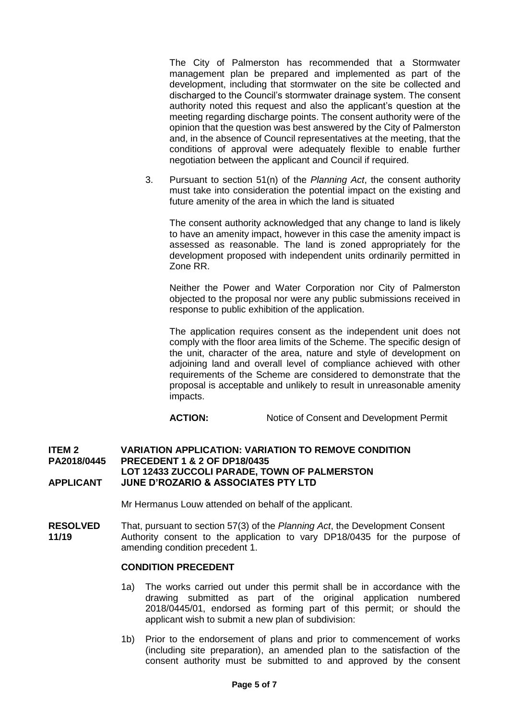The City of Palmerston has recommended that a Stormwater management plan be prepared and implemented as part of the development, including that stormwater on the site be collected and discharged to the Council's stormwater drainage system. The consent authority noted this request and also the applicant's question at the meeting regarding discharge points. The consent authority were of the opinion that the question was best answered by the City of Palmerston and, in the absence of Council representatives at the meeting, that the conditions of approval were adequately flexible to enable further negotiation between the applicant and Council if required.

3. Pursuant to section 51(n) of the *Planning Act*, the consent authority must take into consideration the potential impact on the existing and future amenity of the area in which the land is situated

The consent authority acknowledged that any change to land is likely to have an amenity impact, however in this case the amenity impact is assessed as reasonable. The land is zoned appropriately for the development proposed with independent units ordinarily permitted in Zone RR.

Neither the Power and Water Corporation nor City of Palmerston objected to the proposal nor were any public submissions received in response to public exhibition of the application.

The application requires consent as the independent unit does not comply with the floor area limits of the Scheme. The specific design of the unit, character of the area, nature and style of development on adjoining land and overall level of compliance achieved with other requirements of the Scheme are considered to demonstrate that the proposal is acceptable and unlikely to result in unreasonable amenity impacts.

**ACTION:** Notice of Consent and Development Permit

#### **ITEM 2 VARIATION APPLICATION: VARIATION TO REMOVE CONDITION PA2018/0445 PRECEDENT 1 & 2 OF DP18/0435 LOT 12433 ZUCCOLI PARADE, TOWN OF PALMERSTON APPLICANT JUNE D'ROZARIO & ASSOCIATES PTY LTD**

Mr Hermanus Louw attended on behalf of the applicant.

**RESOLVED** That, pursuant to section 57(3) of the *Planning Act*, the Development Consent **11/19** Authority consent to the application to vary DP18/0435 for the purpose of amending condition precedent 1.

## **CONDITION PRECEDENT**

- 1a) The works carried out under this permit shall be in accordance with the drawing submitted as part of the original application numbered 2018/0445/01, endorsed as forming part of this permit; or should the applicant wish to submit a new plan of subdivision:
- 1b) Prior to the endorsement of plans and prior to commencement of works (including site preparation), an amended plan to the satisfaction of the consent authority must be submitted to and approved by the consent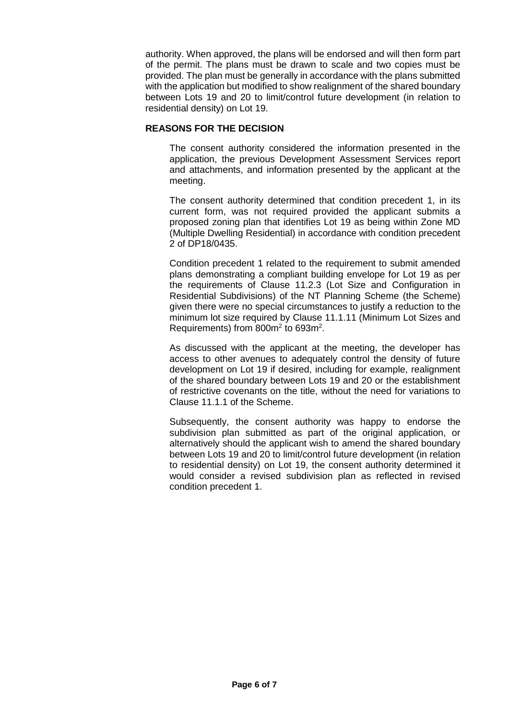authority. When approved, the plans will be endorsed and will then form part of the permit. The plans must be drawn to scale and two copies must be provided. The plan must be generally in accordance with the plans submitted with the application but modified to show realignment of the shared boundary between Lots 19 and 20 to limit/control future development (in relation to residential density) on Lot 19.

## **REASONS FOR THE DECISION**

The consent authority considered the information presented in the application, the previous Development Assessment Services report and attachments, and information presented by the applicant at the meeting.

The consent authority determined that condition precedent 1, in its current form, was not required provided the applicant submits a proposed zoning plan that identifies Lot 19 as being within Zone MD (Multiple Dwelling Residential) in accordance with condition precedent 2 of DP18/0435.

Condition precedent 1 related to the requirement to submit amended plans demonstrating a compliant building envelope for Lot 19 as per the requirements of Clause 11.2.3 (Lot Size and Configuration in Residential Subdivisions) of the NT Planning Scheme (the Scheme) given there were no special circumstances to justify a reduction to the minimum lot size required by Clause 11.1.11 (Minimum Lot Sizes and Requirements) from 800m<sup>2</sup> to 693m<sup>2</sup>.

As discussed with the applicant at the meeting, the developer has access to other avenues to adequately control the density of future development on Lot 19 if desired, including for example, realignment of the shared boundary between Lots 19 and 20 or the establishment of restrictive covenants on the title, without the need for variations to Clause 11.1.1 of the Scheme.

Subsequently, the consent authority was happy to endorse the subdivision plan submitted as part of the original application, or alternatively should the applicant wish to amend the shared boundary between Lots 19 and 20 to limit/control future development (in relation to residential density) on Lot 19, the consent authority determined it would consider a revised subdivision plan as reflected in revised condition precedent 1.